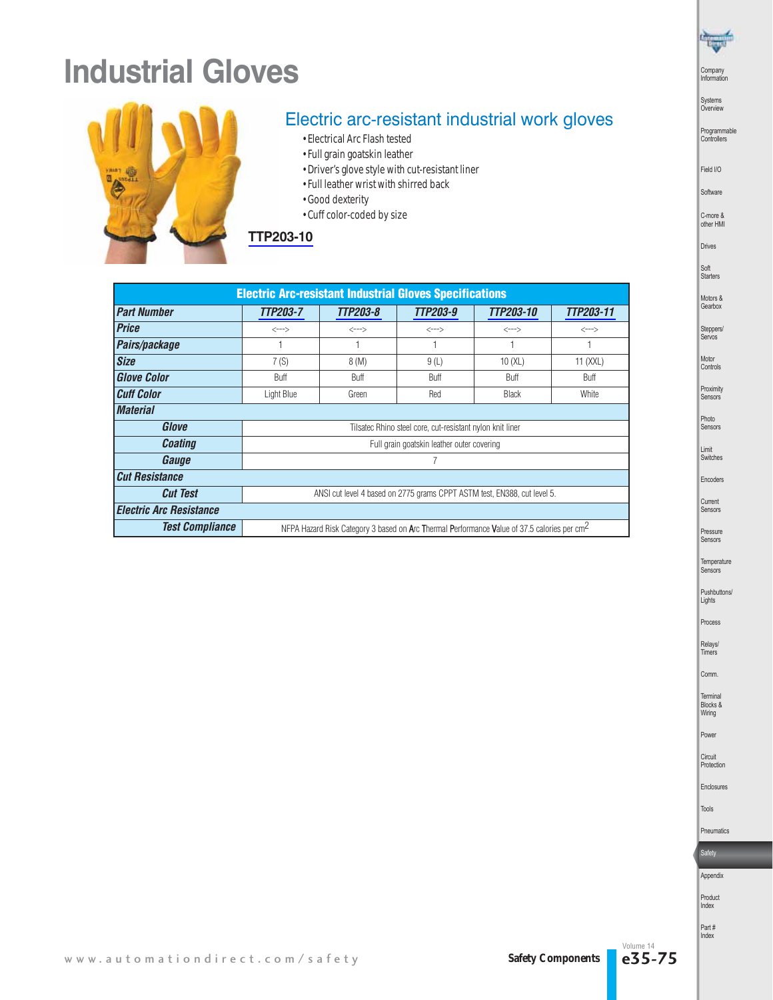# **Industrial Gloves**



## Electric arc-resistant industrial work gloves

- Electrical Arc Flash tested
- Full grain goatskin leather
- Driver's glove style with cut-resistant liner
- Full leather wrist with shirred back
- Good dexterity
- Cuff color-coded by size



| <b>Electric Arc-resistant Industrial Gloves Specifications</b> |                                                                                                         |          |          |              |           |  |  |  |  |
|----------------------------------------------------------------|---------------------------------------------------------------------------------------------------------|----------|----------|--------------|-----------|--|--|--|--|
| <b>Part Number</b>                                             | TTP203-7                                                                                                | TTP203-8 | TTP203-9 | TTP203-10    | TTP203-11 |  |  |  |  |
| <b>Price</b>                                                   | <--->                                                                                                   | <--->    | <--->    | <--->        | <--->     |  |  |  |  |
| Pairs/package                                                  | 1                                                                                                       |          |          |              |           |  |  |  |  |
| <b>Size</b>                                                    | 7(S)                                                                                                    | 8(M)     | 9(L)     | 10(XL)       | 11 (XXL)  |  |  |  |  |
| <b>Glove Color</b>                                             | Buff                                                                                                    | Buff     | Buff     | Buff         | Buff      |  |  |  |  |
| <b>Cuff Color</b>                                              | Light Blue                                                                                              | Green    | Red      | <b>Black</b> | White     |  |  |  |  |
| <b>Material</b>                                                |                                                                                                         |          |          |              |           |  |  |  |  |
| Glove                                                          | Tilsatec Rhino steel core, cut-resistant nylon knit liner                                               |          |          |              |           |  |  |  |  |
| <b>Coating</b>                                                 | Full grain goatskin leather outer covering                                                              |          |          |              |           |  |  |  |  |
| Gauge                                                          | 7                                                                                                       |          |          |              |           |  |  |  |  |
| <b>Cut Resistance</b>                                          |                                                                                                         |          |          |              |           |  |  |  |  |
| <b>Cut Test</b>                                                | ANSI cut level 4 based on 2775 grams CPPT ASTM test, EN388, cut level 5.                                |          |          |              |           |  |  |  |  |
| <b>Electric Arc Resistance</b>                                 |                                                                                                         |          |          |              |           |  |  |  |  |
| <b>Test Compliance</b>                                         | NFPA Hazard Risk Category 3 based on Arc Thermal Performance Value of 37.5 calories per cm <sup>2</sup> |          |          |              |           |  |  |  |  |

Drives Soft Starters Motors &

Company Information

 $\frac{1}{\sqrt{2}}$ 

Systems Overview

Field I/O Software C-more & other HMI

Programmable Controllers

Gearbox Steppers/ Servos

Motor Controls Proximity Sensors

Photo Sensors

Limit Switches Encoders

Current Sensors Pressure

Sensors

Temperature Sensors Pushbuttons/

Lights Process

Relays/ Timers

Comm.

Terminal Blocks & Wiring

Power

Circuit Protection

Enclosures

Tools

Pneumatics **Safety** 



Product

Index Part #

Index

Volume 14